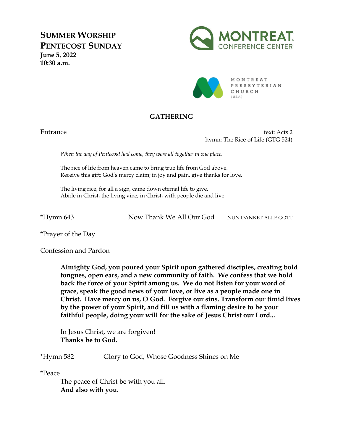**SUMMER WORSHIP PENTECOST SUNDAY June 5, 2022 10:30 a.m.**





MONTREAT PRESBYTERIAN CHURCH

# **GATHERING**

Entrance text: Acts 2 hymn: The Rice of Life (GTG 524)

*When the day of Pentecost had come, they were all together in one place.* 

The rice of life from heaven came to bring true life from God above. Receive this gift; God's mercy claim; in joy and pain, give thanks for love.

The living rice, for all a sign, came down eternal life to give. Abide in Christ, the living vine; in Christ, with people die and live.

\*Hymn 643 Now Thank We All Our God NUN DANKET ALLE GOTT

\*Prayer of the Day

Confession and Pardon

**Almighty God, you poured your Spirit upon gathered disciples, creating bold tongues, open ears, and a new community of faith. We confess that we hold back the force of your Spirit among us. We do not listen for your word of grace, speak the good news of your love, or live as a people made one in Christ. Have mercy on us, O God. Forgive our sins. Transform our timid lives by the power of your Spirit, and fill us with a flaming desire to be your faithful people, doing your will for the sake of Jesus Christ our Lord...**

In Jesus Christ, we are forgiven! **Thanks be to God.**

\*Hymn 582 Glory to God, Whose Goodness Shines on Me

\*Peace

The peace of Christ be with you all. **And also with you.**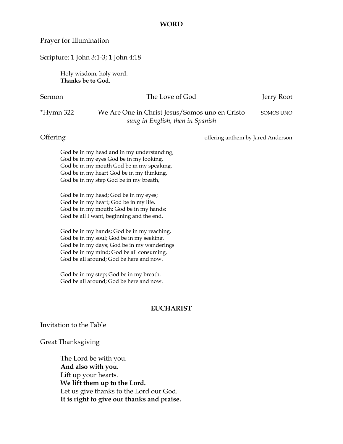### **WORD**

### Prayer for Illumination

### Scripture: 1 John 3:1-3; 1 John 4:18

Holy wisdom, holy word. **Thanks be to God.** 

### Sermon The Love of God Jerry Root

## \*Hymn 322 We Are One in Christ Jesus/Somos uno en Cristo SOMOS UNO *sung in English, then in Spanish*

# Offering  $\blacksquare$  offering anthem by Jared Anderson

God be in my head and in my understanding, God be in my eyes God be in my looking, God be in my mouth God be in my speaking, God be in my heart God be in my thinking, God be in my step God be in my breath,

God be in my head; God be in my eyes; God be in my heart; God be in my life. God be in my mouth; God be in my hands; God be all I want, beginning and the end.

God be in my hands; God be in my reaching. God be in my soul; God be in my seeking. God be in my days; God be in my wanderings God be in my mind; God be all consuming. God be all around; God be here and now.

God be in my step; God be in my breath. God be all around; God be here and now.

### **EUCHARIST**

Invitation to the Table

Great Thanksgiving

The Lord be with you. **And also with you.**  Lift up your hearts. **We lift them up to the Lord.**  Let us give thanks to the Lord our God. **It is right to give our thanks and praise.**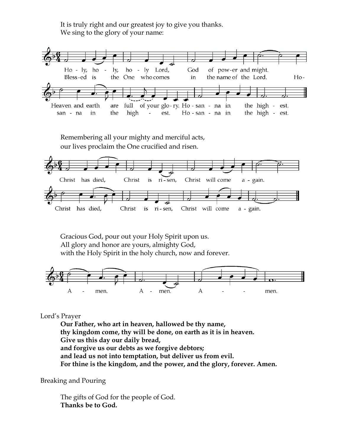It is truly right and our greatest joy to give you thanks. We sing to the glory of your name:



Remembering all your mighty and merciful acts, our lives proclaim the One crucified and risen.



Gracious God, pour out your Holy Spirit upon us. All glory and honor are yours, almighty God, with the Holy Spirit in the holy church, now and forever.



# Lord's Prayer

**Our Father, who art in heaven, hallowed be thy name, thy kingdom come, thy will be done, on earth as it is in heaven. Give us this day our daily bread, and forgive us our debts as we forgive debtors; and lead us not into temptation, but deliver us from evil. For thine is the kingdom, and the power, and the glory, forever. Amen.**

Breaking and Pouring

The gifts of God for the people of God. **Thanks be to God.**